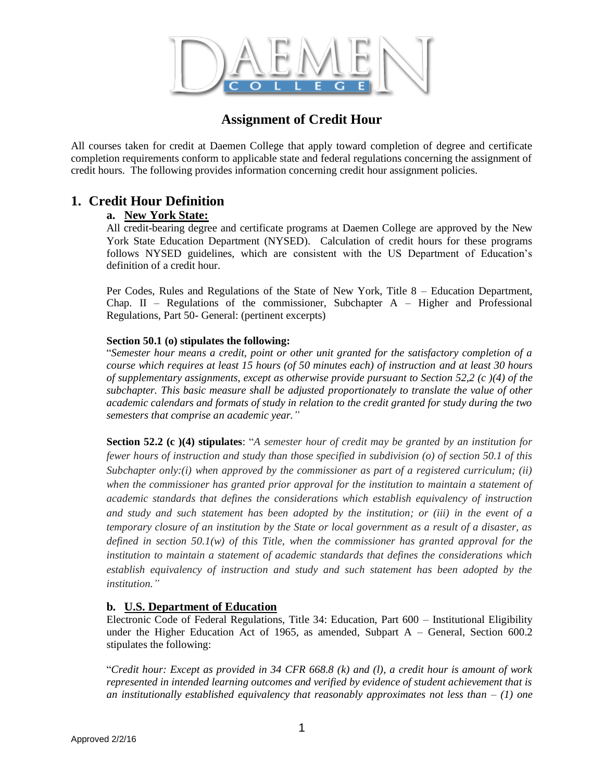

# **Assignment of Credit Hour**

All courses taken for credit at Daemen College that apply toward completion of degree and certificate completion requirements conform to applicable state and federal regulations concerning the assignment of credit hours. The following provides information concerning credit hour assignment policies.

## **1. Credit Hour Definition**

### **a. New York State:**

All credit-bearing degree and certificate programs at Daemen College are approved by the New York State Education Department (NYSED). Calculation of credit hours for these programs follows NYSED guidelines, which are consistent with the US Department of Education's definition of a credit hour.

Per Codes, Rules and Regulations of the State of New York, Title 8 – Education Department, Chap. II – Regulations of the commissioner, Subchapter  $A$  – Higher and Professional Regulations, Part 50- General: (pertinent excerpts)

#### **Section 50.1 (o) stipulates the following:**

"*Semester hour means a credit, point or other unit granted for the satisfactory completion of a course which requires at least 15 hours (of 50 minutes each) of instruction and at least 30 hours of supplementary assignments, except as otherwise provide pursuant to Section 52,2 (c )(4) of the subchapter. This basic measure shall be adjusted proportionately to translate the value of other academic calendars and formats of study in relation to the credit granted for study during the two semesters that comprise an academic year."*

**Section 52.2 (c )(4) stipulates**: "*A semester hour of credit may be granted by an institution for fewer hours of instruction and study than those specified in subdivision (o) of section 50.1 of this Subchapter only:(i) when approved by the commissioner as part of a registered curriculum; (ii) when the commissioner has granted prior approval for the institution to maintain a statement of academic standards that defines the considerations which establish equivalency of instruction and study and such statement has been adopted by the institution; or (iii) in the event of a temporary closure of an institution by the State or local government as a result of a disaster, as defined in section 50.1(w) of this Title, when the commissioner has granted approval for the institution to maintain a statement of academic standards that defines the considerations which establish equivalency of instruction and study and such statement has been adopted by the institution."*

### **b. U.S. Department of Education**

Electronic Code of Federal Regulations, Title 34: Education, Part 600 – Institutional Eligibility under the Higher Education Act of 1965, as amended, Subpart A – General, Section 600.2 stipulates the following:

"*Credit hour: Except as provided in 34 CFR 668.8 (k) and (l), a credit hour is amount of work represented in intended learning outcomes and verified by evidence of student achievement that is an institutionally established equivalency that reasonably approximates not less than – (1) one*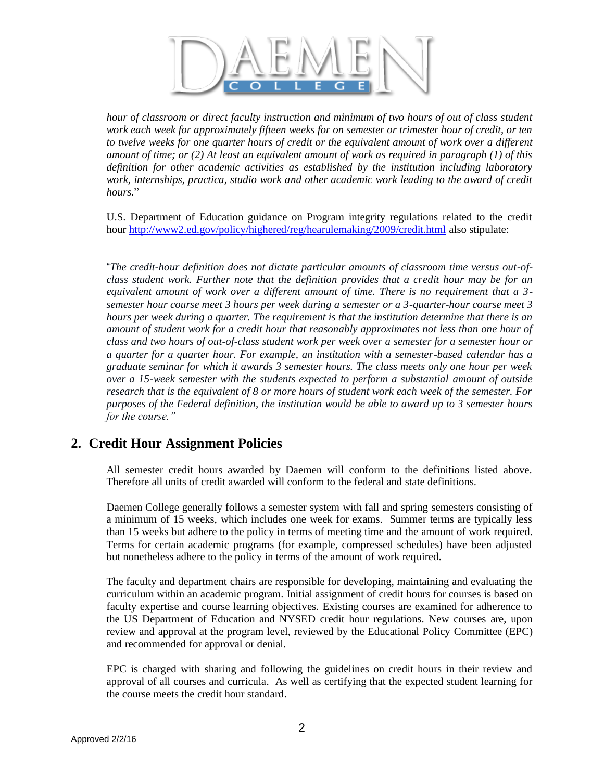

*hour of classroom or direct faculty instruction and minimum of two hours of out of class student work each week for approximately fifteen weeks for on semester or trimester hour of credit, or ten to twelve weeks for one quarter hours of credit or the equivalent amount of work over a different amount of time; or (2) At least an equivalent amount of work as required in paragraph (1) of this definition for other academic activities as established by the institution including laboratory work, internships, practica, studio work and other academic work leading to the award of credit hours.*"

U.S. Department of Education guidance on Program integrity regulations related to the credit hour<http://www2.ed.gov/policy/highered/reg/hearulemaking/2009/credit.html> also stipulate:

"*The credit-hour definition does not dictate particular amounts of classroom time versus out-ofclass student work. Further note that the definition provides that a credit hour may be for an equivalent amount of work over a different amount of time. There is no requirement that a 3 semester hour course meet 3 hours per week during a semester or a 3-quarter-hour course meet 3 hours per week during a quarter. The requirement is that the institution determine that there is an amount of student work for a credit hour that reasonably approximates not less than one hour of class and two hours of out-of-class student work per week over a semester for a semester hour or a quarter for a quarter hour. For example, an institution with a semester-based calendar has a graduate seminar for which it awards 3 semester hours. The class meets only one hour per week over a 15-week semester with the students expected to perform a substantial amount of outside research that is the equivalent of 8 or more hours of student work each week of the semester. For purposes of the Federal definition, the institution would be able to award up to 3 semester hours for the course."* 

## **2. Credit Hour Assignment Policies**

All semester credit hours awarded by Daemen will conform to the definitions listed above. Therefore all units of credit awarded will conform to the federal and state definitions.

Daemen College generally follows a semester system with fall and spring semesters consisting of a minimum of 15 weeks, which includes one week for exams. Summer terms are typically less than 15 weeks but adhere to the policy in terms of meeting time and the amount of work required. Terms for certain academic programs (for example, compressed schedules) have been adjusted but nonetheless adhere to the policy in terms of the amount of work required.

The faculty and department chairs are responsible for developing, maintaining and evaluating the curriculum within an academic program. Initial assignment of credit hours for courses is based on faculty expertise and course learning objectives. Existing courses are examined for adherence to the US Department of Education and NYSED credit hour regulations. New courses are, upon review and approval at the program level, reviewed by the Educational Policy Committee (EPC) and recommended for approval or denial.

EPC is charged with sharing and following the guidelines on credit hours in their review and approval of all courses and curricula. As well as certifying that the expected student learning for the course meets the credit hour standard.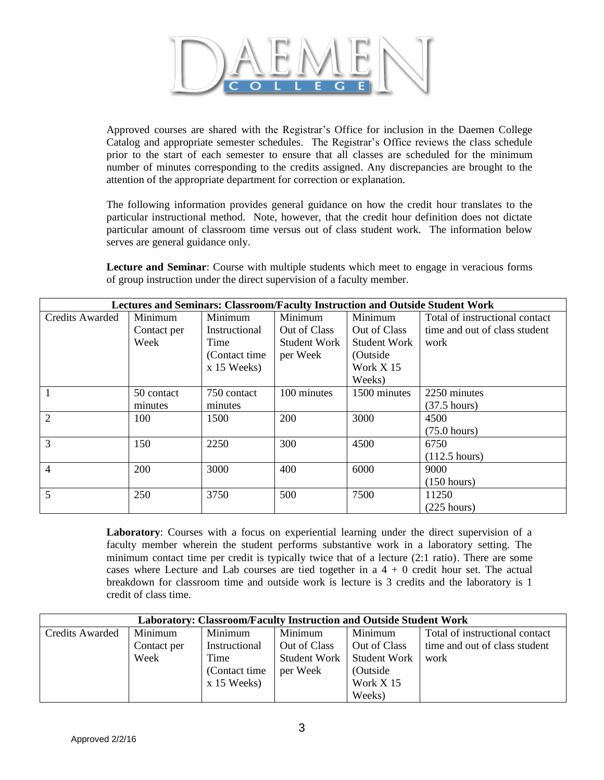

Approved courses are shared with the Registrar's Office for inclusion in the Daemen College Catalog and appropriate semester schedules. The Registrar's Office reviews the class schedule prior to the start of each semester to ensure that all classes are scheduled for the minimum number of minutes corresponding to the credits assigned. Any discrepancies are brought to the attention of the appropriate department for correction or explanation.

The following information provides general guidance on how the credit hour translates to the particular instructional method. Note, however, that the credit hour definition does not dictate particular amount of classroom time versus out of class student work. The information below serves are general guidance only.

**Lecture and Seminar**: Course with multiple students which meet to engage in veracious forms of group instruction under the direct supervision of a faculty member.

| <b>Lectures and Seminars: Classroom/Faculty Instruction and Outside Student Work</b> |             |                |              |              |                                |
|--------------------------------------------------------------------------------------|-------------|----------------|--------------|--------------|--------------------------------|
| Credits Awarded                                                                      | Minimum     | Minimum        | Minimum      | Minimum      | Total of instructional contact |
|                                                                                      | Contact per | Instructional  | Out of Class | Out of Class | time and out of class student  |
|                                                                                      | Week        | Time           | Student Work | Student Work | work                           |
|                                                                                      |             | (Contact time) | per Week     | (Outside)    |                                |
|                                                                                      |             | $x$ 15 Weeks)  |              | Work $X$ 15  |                                |
|                                                                                      |             |                |              | Weeks)       |                                |
|                                                                                      | 50 contact  | 750 contact    | 100 minutes  | 1500 minutes | 2250 minutes                   |
|                                                                                      | minutes     | minutes        |              |              | $(37.5 \text{ hours})$         |
| $\overline{2}$                                                                       | 100         | 1500           | 200          | 3000         | 4500                           |
|                                                                                      |             |                |              |              | $(75.0 \text{ hours})$         |
| 3                                                                                    | 150         | 2250           | 300          | 4500         | 6750                           |
|                                                                                      |             |                |              |              | $(112.5 \text{ hours})$        |
| 4                                                                                    | 200         | 3000           | 400          | 6000         | 9000                           |
|                                                                                      |             |                |              |              | (150 hours)                    |
| 5                                                                                    | 250         | 3750           | 500          | 7500         | 11250                          |
|                                                                                      |             |                |              |              | $(225$ hours)                  |

**Laboratory**: Courses with a focus on experiential learning under the direct supervision of a faculty member wherein the student performs substantive work in a laboratory setting. The minimum contact time per credit is typically twice that of a lecture (2:1 ratio). There are some cases where Lecture and Lab courses are tied together in a  $4 + 0$  credit hour set. The actual breakdown for classroom time and outside work is lecture is 3 credits and the laboratory is 1 credit of class time.

| <b>Laboratory: Classroom/Faculty Instruction and Outside Student Work</b> |             |                |                     |                     |                                |  |
|---------------------------------------------------------------------------|-------------|----------------|---------------------|---------------------|--------------------------------|--|
| Credits Awarded                                                           | Minimum     | Minimum        | Minimum             | Minimum             | Total of instructional contact |  |
|                                                                           | Contact per | Instructional  | Out of Class        | Out of Class        | time and out of class student  |  |
|                                                                           | Week        | Time           | <b>Student Work</b> | <b>Student Work</b> | work                           |  |
|                                                                           |             | (Contact time) | per Week            | (Outside)           |                                |  |
|                                                                           |             | $x$ 15 Weeks)  |                     | Work X 15           |                                |  |
|                                                                           |             |                |                     | Weeks)              |                                |  |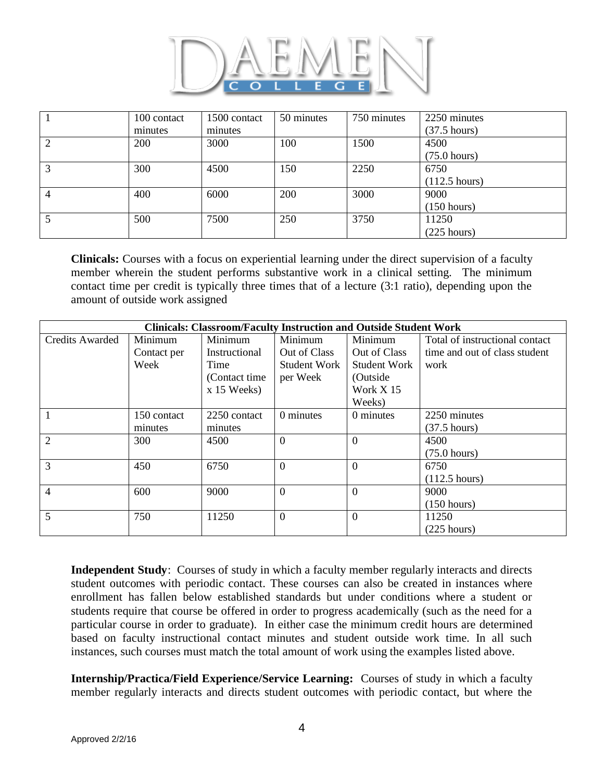

|   | 100 contact | 1500 contact | 50 minutes | 750 minutes | 2250 minutes            |
|---|-------------|--------------|------------|-------------|-------------------------|
|   | minutes     | minutes      |            |             | $(37.5 \text{ hours})$  |
|   | 200         | 3000         | 100        | 1500        | 4500                    |
|   |             |              |            |             | $(75.0 \text{ hours})$  |
|   | 300         | 4500         | 150        | 2250        | 6750                    |
|   |             |              |            |             | $(112.5 \text{ hours})$ |
| 4 | 400         | 6000         | 200        | 3000        | 9000                    |
|   |             |              |            |             | (150 hours)             |
|   | 500         | 7500         | 250        | 3750        | 11250                   |
|   |             |              |            |             | $(225 \text{ hours})$   |

**Clinicals:** Courses with a focus on experiential learning under the direct supervision of a faculty member wherein the student performs substantive work in a clinical setting. The minimum contact time per credit is typically three times that of a lecture (3:1 ratio), depending upon the amount of outside work assigned

| <b>Clinicals: Classroom/Faculty Instruction and Outside Student Work</b> |             |                |                     |              |                                |
|--------------------------------------------------------------------------|-------------|----------------|---------------------|--------------|--------------------------------|
| <b>Credits Awarded</b>                                                   | Minimum     | Minimum        | Minimum             | Minimum      | Total of instructional contact |
|                                                                          | Contact per | Instructional  | Out of Class        | Out of Class | time and out of class student  |
|                                                                          | Week        | Time           | <b>Student Work</b> | Student Work | work                           |
|                                                                          |             | (Contact time) | per Week            | (Outside     |                                |
|                                                                          |             | $x$ 15 Weeks)  |                     | Work X 15    |                                |
|                                                                          |             |                |                     | Weeks)       |                                |
|                                                                          | 150 contact | 2250 contact   | 0 minutes           | 0 minutes    | 2250 minutes                   |
|                                                                          | minutes     | minutes        |                     |              | $(37.5 \text{ hours})$         |
| $\overline{2}$                                                           | 300         | 4500           | $\overline{0}$      | $\Omega$     | 4500                           |
|                                                                          |             |                |                     |              | $(75.0 \text{ hours})$         |
| 3                                                                        | 450         | 6750           | $\Omega$            | $\Omega$     | 6750                           |
|                                                                          |             |                |                     |              | $(112.5 \text{ hours})$        |
| $\overline{4}$                                                           | 600         | 9000           | $\overline{0}$      | $\Omega$     | 9000                           |
|                                                                          |             |                |                     |              | (150 hours)                    |
| 5                                                                        | 750         | 11250          | $\Omega$            | $\Omega$     | 11250                          |
|                                                                          |             |                |                     |              | $(225$ hours)                  |

**Independent Study**: Courses of study in which a faculty member regularly interacts and directs student outcomes with periodic contact. These courses can also be created in instances where enrollment has fallen below established standards but under conditions where a student or students require that course be offered in order to progress academically (such as the need for a particular course in order to graduate). In either case the minimum credit hours are determined based on faculty instructional contact minutes and student outside work time. In all such instances, such courses must match the total amount of work using the examples listed above.

**Internship/Practica/Field Experience/Service Learning:** Courses of study in which a faculty member regularly interacts and directs student outcomes with periodic contact, but where the